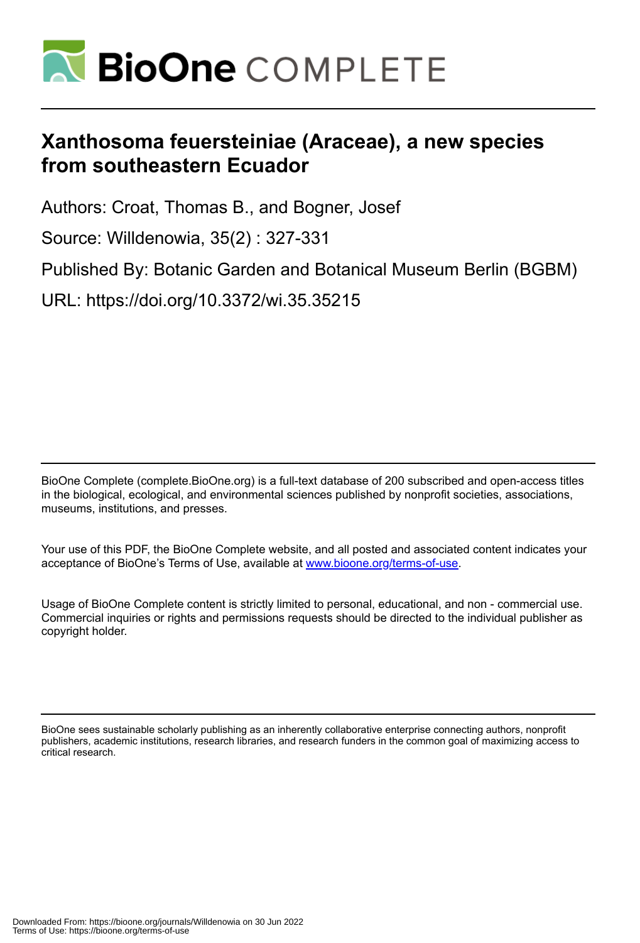

# **Xanthosoma feuersteiniae (Araceae), a new species from southeastern Ecuador**

Authors: Croat, Thomas B., and Bogner, Josef

Source: Willdenowia, 35(2) : 327-331

Published By: Botanic Garden and Botanical Museum Berlin (BGBM)

URL: https://doi.org/10.3372/wi.35.35215

BioOne Complete (complete.BioOne.org) is a full-text database of 200 subscribed and open-access titles in the biological, ecological, and environmental sciences published by nonprofit societies, associations, museums, institutions, and presses.

Your use of this PDF, the BioOne Complete website, and all posted and associated content indicates your acceptance of BioOne's Terms of Use, available at www.bioone.org/terms-of-use.

Usage of BioOne Complete content is strictly limited to personal, educational, and non - commercial use. Commercial inquiries or rights and permissions requests should be directed to the individual publisher as copyright holder.

BioOne sees sustainable scholarly publishing as an inherently collaborative enterprise connecting authors, nonprofit publishers, academic institutions, research libraries, and research funders in the common goal of maximizing access to critical research.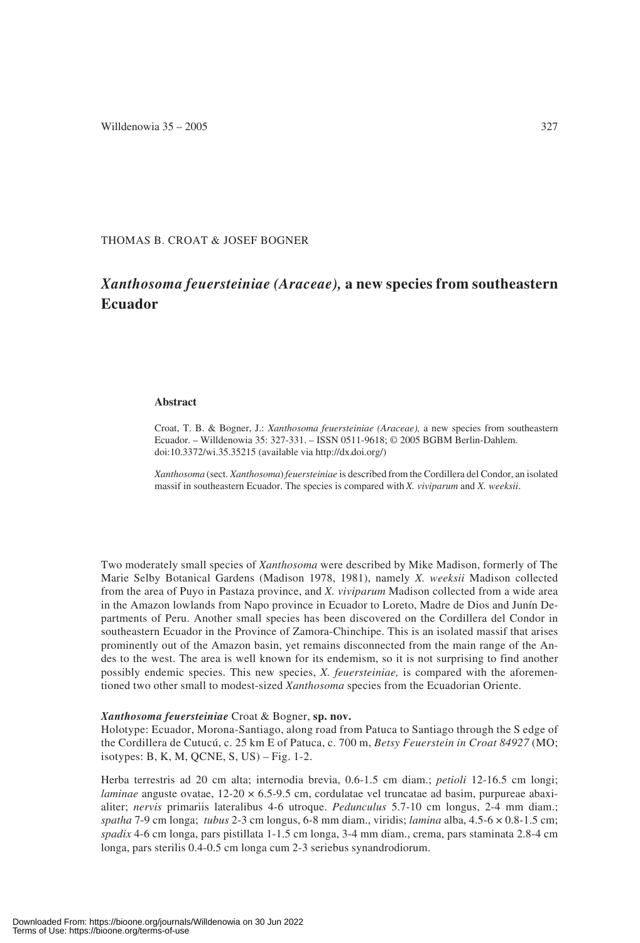THOMAS B. CROAT & JOSEF BOGNER

# *Xanthosoma feuersteiniae (Araceae),* **a new species from southeastern Ecuador**

## **Abstract**

Croat, T. B. & Bogner, J.: *Xanthosoma feuersteiniae (Araceae),* a new species from southeastern Ecuador. – Willdenowia 35: 327-331. – ISSN 0511-9618; © 2005 BGBM Berlin-Dahlem. doi:10.3372/wi.35.35215 (available via http://dx.doi.org/)

*Xanthosoma* (sect. *Xanthosoma*) *feuersteiniae* is described from the Cordillera del Condor, an isolated massif in southeastern Ecuador. The species is compared with *X. viviparum* and *X. weeksii*.

Two moderately small species of *Xanthosoma* were described by Mike Madison, formerly of The Marie Selby Botanical Gardens (Madison 1978, 1981), namely *X. weeksii* Madison collected from the area of Puyo in Pastaza province, and *X. viviparum* Madison collected from a wide area in the Amazon lowlands from Napo province in Ecuador to Loreto, Madre de Dios and Junín Departments of Peru. Another small species has been discovered on the Cordillera del Condor in southeastern Ecuador in the Province of Zamora-Chinchipe. This is an isolated massif that arises prominently out of the Amazon basin, yet remains disconnected from the main range of the Andes to the west. The area is well known for its endemism, so it is not surprising to find another possibly endemic species. This new species, *X. feuersteiniae,* is compared with the aforementioned two other small to modest-sized *Xanthosoma* species from the Ecuadorian Oriente.

#### *Xanthosoma feuersteiniae* Croat & Bogner, **sp. nov.**

Holotype: Ecuador, Morona-Santiago, along road from Patuca to Santiago through the S edge of the Cordillera de Cutucú, c. 25 km E of Patuca, c. 700 m, *Betsy Feuerstein in Croat 84927* (MO; isotypes: B, K, M, QCNE, S, US) – Fig. 1-2.

Herba terrestris ad 20 cm alta; internodia brevia, 0.6-1.5 cm diam.; *petioli* 12-16.5 cm longi; *laminae* anguste ovatae, 12-20  $\times$  6.5-9.5 cm, cordulatae vel truncatae ad basim, purpureae abaxialiter; *nervis* primariis lateralibus 4-6 utroque. *Pedunculus* 5.7-10 cm longus, 2-4 mm diam.; *spatha* 7-9 cm longa; *tubus* 2-3 cm longus, 6-8 mm diam., viridis; *lamina* alba, 4.5-6 × 0.8-1.5 cm; *spadix* 4-6 cm longa, pars pistillata 1-1.5 cm longa, 3-4 mm diam., crema, pars staminata 2.8-4 cm longa, pars sterilis 0.4-0.5 cm longa cum 2-3 seriebus synandrodiorum.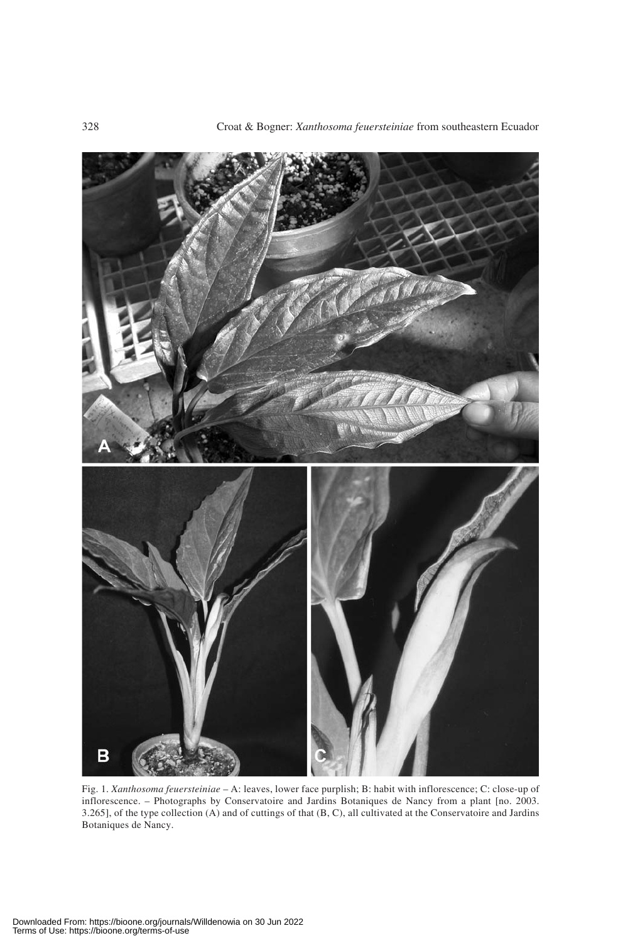

Fig. 1. *Xanthosoma feuersteiniae* – A: leaves, lower face purplish; B: habit with inflorescence; C: close-up of inflorescence. – Photographs by Conservatoire and Jardins Botaniques de Nancy from a plant [no. 2003. 3.265], of the type collection (A) and of cuttings of that (B, C), all cultivated at the Conservatoire and Jardins Botaniques de Nancy.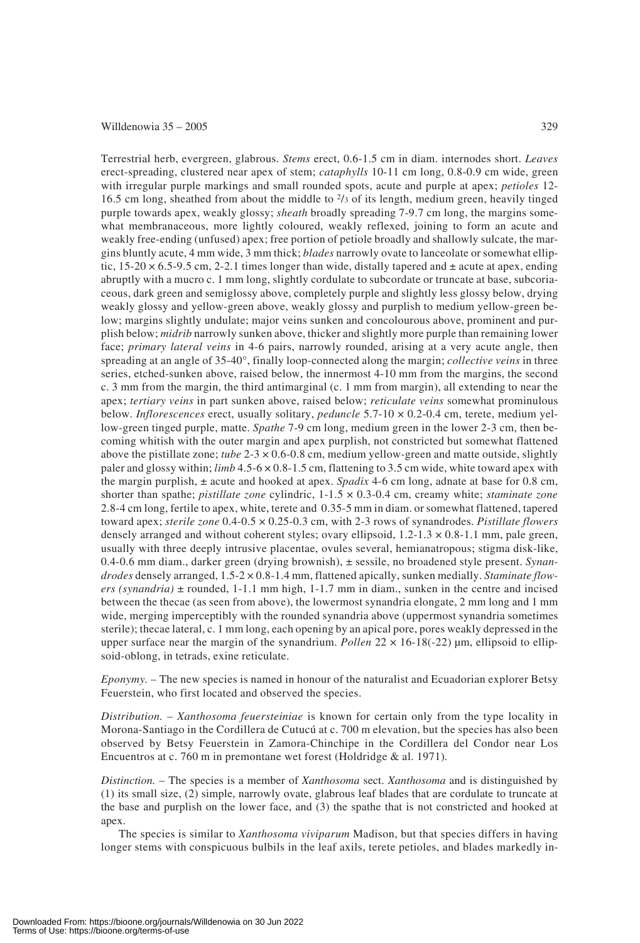## Willdenowia  $35 - 2005$  329

Terrestrial herb, evergreen, glabrous. *Stems* erect, 0.6-1.5 cm in diam. internodes short. *Leaves* erect-spreading, clustered near apex of stem; *cataphylls* 10-11 cm long, 0.8-0.9 cm wide, green with irregular purple markings and small rounded spots, acute and purple at apex; *petioles* 12- 16.5 cm long, sheathed from about the middle to 2/3 of its length, medium green, heavily tinged purple towards apex, weakly glossy; *sheath* broadly spreading 7-9.7 cm long, the margins somewhat membranaceous, more lightly coloured, weakly reflexed, joining to form an acute and weakly free-ending (unfused) apex; free portion of petiole broadly and shallowly sulcate, the margins bluntly acute, 4 mm wide, 3 mm thick; *blades* narrowly ovate to lanceolate or somewhat elliptic,  $15{\text -}20 \times 6.5{\text -}9.5$  cm, 2-2.1 times longer than wide, distally tapered and  $\pm$  acute at apex, ending abruptly with a mucro c. 1 mm long, slightly cordulate to subcordate or truncate at base, subcoriaceous, dark green and semiglossy above, completely purple and slightly less glossy below, drying weakly glossy and yellow-green above, weakly glossy and purplish to medium yellow-green below; margins slightly undulate; major veins sunken and concolourous above, prominent and purplish below; *midrib* narrowly sunken above, thicker and slightly more purple than remaining lower face; *primary lateral veins* in 4-6 pairs, narrowly rounded, arising at a very acute angle, then spreading at an angle of 35-40°, finally loop-connected along the margin; *collective veins* in three series, etched-sunken above, raised below, the innermost 4-10 mm from the margins, the second c. 3 mm from the margin, the third antimarginal (c. 1 mm from margin), all extending to near the apex; *tertiary veins* in part sunken above, raised below; *reticulate veins* somewhat prominulous below. *Inflorescences* erect, usually solitary, *peduncle* 5.7-10 × 0.2-0.4 cm, terete, medium yellow-green tinged purple, matte. *Spathe* 7-9 cm long, medium green in the lower 2-3 cm, then becoming whitish with the outer margin and apex purplish, not constricted but somewhat flattened above the pistillate zone; *tube* 2-3 × 0.6-0.8 cm, medium yellow-green and matte outside, slightly paler and glossy within; *limb* 4.5-6 × 0.8-1.5 cm, flattening to 3.5 cm wide, white toward apex with the margin purplish, ± acute and hooked at apex. *Spadix* 4-6 cm long, adnate at base for 0.8 cm, shorter than spathe; *pistillate zone* cylindric, 1-1.5 × 0.3-0.4 cm, creamy white; *staminate zone* 2.8-4 cm long, fertile to apex, white, terete and 0.35-5 mm in diam. or somewhat flattened, tapered toward apex; *sterile zone* 0.4-0.5 × 0.25-0.3 cm, with 2-3 rows of synandrodes. *Pistillate flowers* densely arranged and without coherent styles; ovary ellipsoid,  $1.2{\text -}1.3 \times 0.8{\text -}1.1$  mm, pale green, usually with three deeply intrusive placentae, ovules several, hemianatropous; stigma disk-like, 0.4-0.6 mm diam., darker green (drying brownish), ± sessile, no broadened style present. *Synandrodes* densely arranged, 1.5-2 × 0.8-1.4 mm, flattened apically, sunken medially. *Staminate flowers (synandria)* ± rounded, 1-1.1 mm high, 1-1.7 mm in diam., sunken in the centre and incised between the thecae (as seen from above), the lowermost synandria elongate, 2 mm long and 1 mm wide, merging imperceptibly with the rounded synandria above (uppermost synandria sometimes sterile); thecae lateral, c. 1 mm long, each opening by an apical pore, pores weakly depressed in the upper surface near the margin of the synandrium. *Pollen* 22 × 16-18(-22) μm, ellipsoid to ellipsoid-oblong, in tetrads, exine reticulate.

*Eponymy.* – The new species is named in honour of the naturalist and Ecuadorian explorer Betsy Feuerstein, who first located and observed the species.

*Distribution.* – *Xanthosoma feuersteiniae* is known for certain only from the type locality in Morona-Santiago in the Cordillera de Cutucú at c. 700 m elevation, but the species has also been observed by Betsy Feuerstein in Zamora-Chinchipe in the Cordillera del Condor near Los Encuentros at c. 760 m in premontane wet forest (Holdridge & al. 1971)*.*

*Distinction.* – The species is a member of *Xanthosoma* sect. *Xanthosoma* and is distinguished by (1) its small size, (2) simple, narrowly ovate, glabrous leaf blades that are cordulate to truncate at the base and purplish on the lower face, and (3) the spathe that is not constricted and hooked at apex.

The species is similar to *Xanthosoma viviparum* Madison, but that species differs in having longer stems with conspicuous bulbils in the leaf axils, terete petioles, and blades markedly in-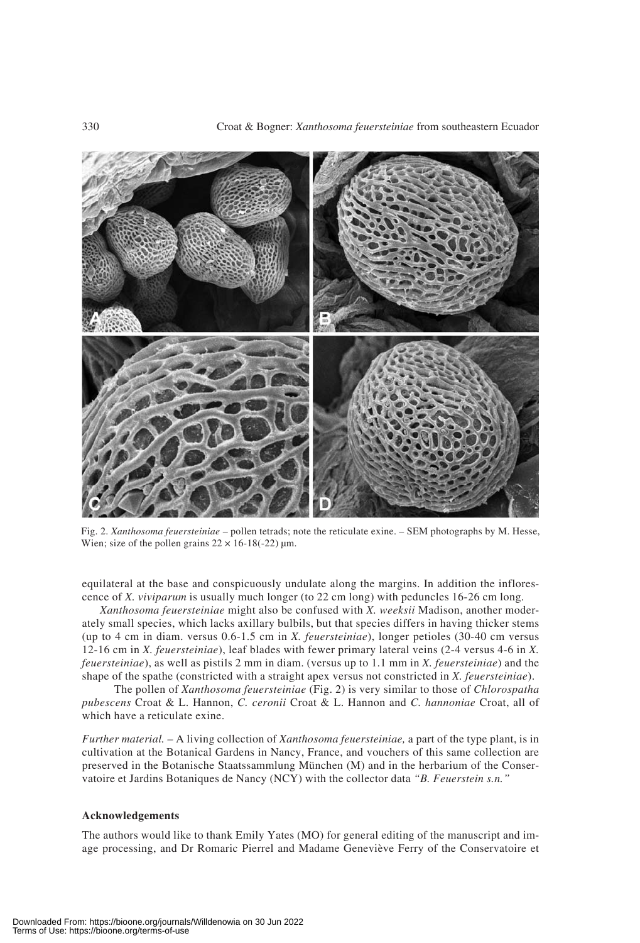

Fig. 2. *Xanthosoma feuersteiniae* – pollen tetrads; note the reticulate exine. – SEM photographs by M. Hesse, Wien; size of the pollen grains  $22 \times 16 - 18(-22)$  μm.

equilateral at the base and conspicuously undulate along the margins. In addition the inflorescence of *X. viviparum* is usually much longer (to 22 cm long) with peduncles 16-26 cm long.

*Xanthosoma feuersteiniae* might also be confused with *X. weeksii* Madison, another moderately small species, which lacks axillary bulbils, but that species differs in having thicker stems (up to 4 cm in diam. versus 0.6-1.5 cm in *X. feuersteiniae*), longer petioles (30-40 cm versus 12-16 cm in *X. feuersteiniae*), leaf blades with fewer primary lateral veins (2-4 versus 4-6 in *X. feuersteiniae*), as well as pistils 2 mm in diam. (versus up to 1.1 mm in *X. feuersteiniae*) and the shape of the spathe (constricted with a straight apex versus not constricted in *X. feuersteiniae*).

The pollen of *Xanthosoma feuersteiniae* (Fig. 2) is very similar to those of *Chlorospatha pubescens* Croat & L. Hannon, *C. ceronii* Croat & L. Hannon and *C. hannoniae* Croat, all of which have a reticulate exine.

*Further material. –* A living collection of *Xanthosoma feuersteiniae,* a part of the type plant, is in cultivation at the Botanical Gardens in Nancy, France, and vouchers of this same collection are preserved in the Botanische Staatssammlung München (M) and in the herbarium of the Conservatoire et Jardins Botaniques de Nancy (NCY) with the collector data *"B. Feuerstein s.n."*

#### **Acknowledgements**

The authors would like to thank Emily Yates (MO) for general editing of the manuscript and image processing, and Dr Romaric Pierrel and Madame Geneviève Ferry of the Conservatoire et